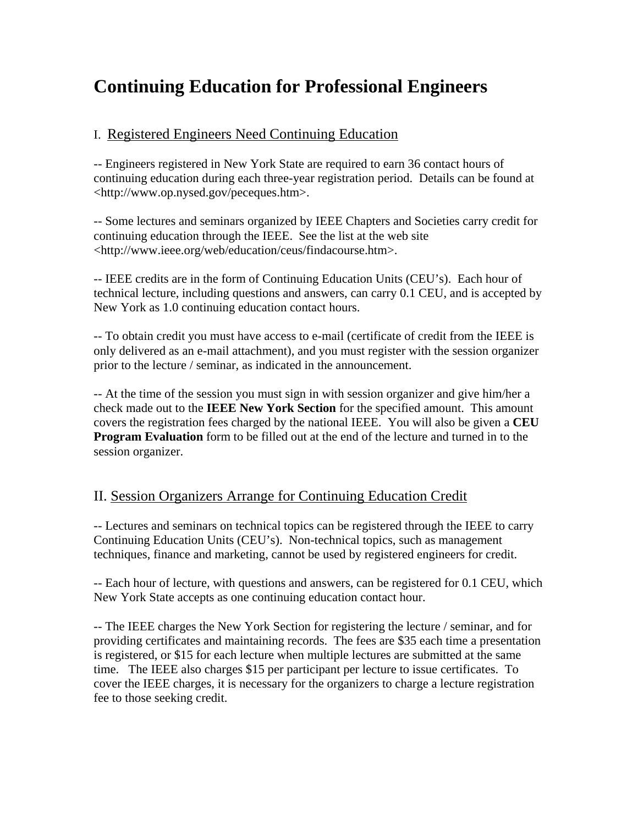# **Continuing Education for Professional Engineers**

# I. Registered Engineers Need Continuing Education

-- Engineers registered in New York State are required to earn 36 contact hours of continuing education during each three-year registration period. Details can be found at <http://www.op.nysed.gov/peceques.htm>.

-- Some lectures and seminars organized by IEEE Chapters and Societies carry credit for continuing education through the IEEE. See the list at the web site <http://www.ieee.org/web/education/ceus/findacourse.htm>.

-- IEEE credits are in the form of Continuing Education Units (CEU's). Each hour of technical lecture, including questions and answers, can carry 0.1 CEU, and is accepted by New York as 1.0 continuing education contact hours.

-- To obtain credit you must have access to e-mail (certificate of credit from the IEEE is only delivered as an e-mail attachment), and you must register with the session organizer prior to the lecture / seminar, as indicated in the announcement.

-- At the time of the session you must sign in with session organizer and give him/her a check made out to the **IEEE New York Section** for the specified amount. This amount covers the registration fees charged by the national IEEE. You will also be given a **CEU Program Evaluation** form to be filled out at the end of the lecture and turned in to the session organizer.

# II. Session Organizers Arrange for Continuing Education Credit

-- Lectures and seminars on technical topics can be registered through the IEEE to carry Continuing Education Units (CEU's). Non-technical topics, such as management techniques, finance and marketing, cannot be used by registered engineers for credit.

-- Each hour of lecture, with questions and answers, can be registered for 0.1 CEU, which New York State accepts as one continuing education contact hour.

-- The IEEE charges the New York Section for registering the lecture / seminar, and for providing certificates and maintaining records. The fees are \$35 each time a presentation is registered, or \$15 for each lecture when multiple lectures are submitted at the same time. The IEEE also charges \$15 per participant per lecture to issue certificates. To cover the IEEE charges, it is necessary for the organizers to charge a lecture registration fee to those seeking credit.